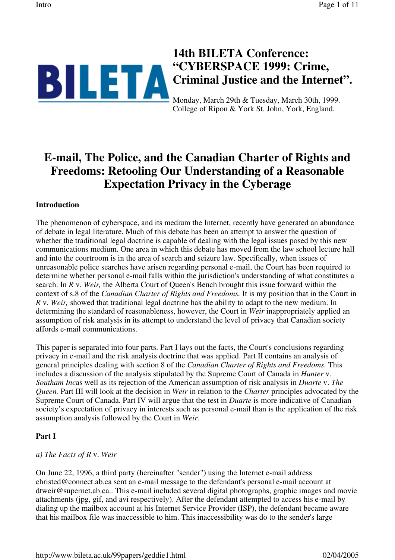

# **14th BILETA Conference: "CYBERSPACE 1999: Crime, Criminal Justice and the Internet".**

Monday, March 29th & Tuesday, March 30th, 1999. College of Ripon & York St. John, York, England.

# **E-mail, The Police, and the Canadian Charter of Rights and Freedoms: Retooling Our Understanding of a Reasonable Expectation Privacy in the Cyberage**

## **Introduction**

The phenomenon of cyberspace, and its medium the Internet, recently have generated an abundance of debate in legal literature. Much of this debate has been an attempt to answer the question of whether the traditional legal doctrine is capable of dealing with the legal issues posed by this new communications medium. One area in which this debate has moved from the law school lecture hall and into the courtroom is in the area of search and seizure law. Specifically, when issues of unreasonable police searches have arisen regarding personal e-mail, the Court has been required to determine whether personal e-mail falls within the jurisdiction's understanding of what constitutes a search. In *R* v. *Weir,* the Alberta Court of Queen's Bench brought this issue forward within the context of s.8 of the *Canadian Charter of Rights and Freedoms.* It is my position that in the Court in *R* v. *Weir,* showed that traditional legal doctrine has the ability to adapt to the new medium. In determining the standard of reasonableness, however, the Court in *Weir* inappropriately applied an assumption of risk analysis in its attempt to understand the level of privacy that Canadian society affords e-mail communications.

This paper is separated into four parts. Part I lays out the facts, the Court's conclusions regarding privacy in e-mail and the risk analysis doctrine that was applied. Part II contains an analysis of general principles dealing with section 8 of the *Canadian Charter of Rights and Freedoms.* This includes a discussion of the analysis stipulated by the Supreme Court of Canada in *Hunter* v. *Southam Inc*as well as its rejection of the American assumption of risk analysis in *Duarte* v. *The Queen.* Part III will look at the decision in *Weir* in relation to the *Charter* principles advocated by the Supreme Court of Canada. Part IV will argue that the test in *Duarte* is more indicative of Canadian society's expectation of privacy in interests such as personal e-mail than is the application of the risk assumption analysis followed by the Court in *Weir.*

## **Part I**

#### *a) The Facts of R* v. *Weir*

On June 22, 1996, a third party (hereinafter "sender") using the Internet e-mail address christed@connect.ab.ca sent an e-mail message to the defendant's personal e-mail account at dtweir@supernet.ab.ca.. This e-mail included several digital photographs, graphic images and movie attachments (jpg, gif, and avi respectively). After the defendant attempted to access his e-mail by dialing up the mailbox account at his Internet Service Provider (ISP), the defendant became aware that his mailbox file was inaccessible to him. This inaccessibility was do to the sender's large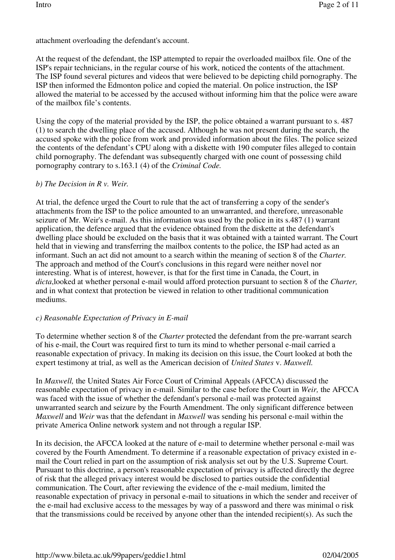attachment overloading the defendant's account.

At the request of the defendant, the ISP attempted to repair the overloaded mailbox file. One of the ISP's repair technicians, in the regular course of his work, noticed the contents of the attachment. The ISP found several pictures and videos that were believed to be depicting child pornography. The ISP then informed the Edmonton police and copied the material. On police instruction, the ISP allowed the material to be accessed by the accused without informing him that the police were aware of the mailbox file's contents.

Using the copy of the material provided by the ISP, the police obtained a warrant pursuant to s. 487 (1) to search the dwelling place of the accused. Although he was not present during the search, the accused spoke with the police from work and provided information about the files. The police seized the contents of the defendant's CPU along with a diskette with 190 computer files alleged to contain child pornography. The defendant was subsequently charged with one count of possessing child pornography contrary to s.163.1 (4) of the *Criminal Code.*

#### *b) The Decision in R v. Weir.*

At trial, the defence urged the Court to rule that the act of transferring a copy of the sender's attachments from the ISP to the police amounted to an unwarranted, and therefore, unreasonable seizure of Mr. Weir's e-mail. As this information was used by the police in its s.487 (1) warrant application, the defence argued that the evidence obtained from the diskette at the defendant's dwelling place should be excluded on the basis that it was obtained with a tainted warrant. The Court held that in viewing and transferring the mailbox contents to the police, the ISP had acted as an informant. Such an act did not amount to a search within the meaning of section 8 of the *Charter.* The approach and method of the Court's conclusions in this regard were neither novel nor interesting. What is of interest, however, is that for the first time in Canada, the Court, in *dicta*,looked at whether personal e-mail would afford protection pursuant to section 8 of the *Charter,*  and in what context that protection be viewed in relation to other traditional communication mediums.

#### *c) Reasonable Expectation of Privacy in E-mail*

To determine whether section 8 of the *Charter* protected the defendant from the pre-warrant search of his e-mail, the Court was required first to turn its mind to whether personal e-mail carried a reasonable expectation of privacy. In making its decision on this issue, the Court looked at both the expert testimony at trial, as well as the American decision of *United States* v. *Maxwell.*

In *Maxwell,* the United States Air Force Court of Criminal Appeals (AFCCA) discussed the reasonable expectation of privacy in e-mail. Similar to the case before the Court in *Weir,* the AFCCA was faced with the issue of whether the defendant's personal e-mail was protected against unwarranted search and seizure by the Fourth Amendment. The only significant difference between *Maxwell* and *Weir* was that the defendant in *Maxwell* was sending his personal e-mail within the private America Online network system and not through a regular ISP.

In its decision, the AFCCA looked at the nature of e-mail to determine whether personal e-mail was covered by the Fourth Amendment. To determine if a reasonable expectation of privacy existed in email the Court relied in part on the assumption of risk analysis set out by the U.S. Supreme Court. Pursuant to this doctrine, a person's reasonable expectation of privacy is affected directly the degree of risk that the alleged privacy interest would be disclosed to parties outside the confidential communication. The Court, after reviewing the evidence of the e-mail medium, limited the reasonable expectation of privacy in personal e-mail to situations in which the sender and receiver of the e-mail had exclusive access to the messages by way of a password and there was minimal o risk that the transmissions could be received by anyone other than the intended recipient(s). As such the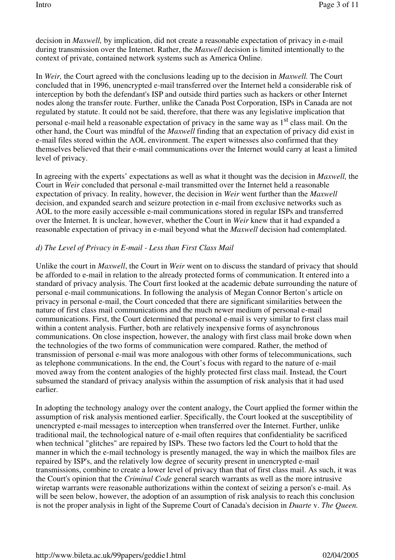decision in *Maxwell,* by implication, did not create a reasonable expectation of privacy in e-mail during transmission over the Internet. Rather, the *Maxwell* decision is limited intentionally to the context of private, contained network systems such as America Online.

In *Weir,* the Court agreed with the conclusions leading up to the decision in *Maxwell.* The Court concluded that in 1996, unencrypted e-mail transferred over the Internet held a considerable risk of interception by both the defendant's ISP and outside third parties such as hackers or other Internet nodes along the transfer route. Further, unlike the Canada Post Corporation, ISPs in Canada are not regulated by statute. It could not be said, therefore, that there was any legislative implication that personal e-mail held a reasonable expectation of privacy in the same way as  $1<sup>st</sup>$  class mail. On the other hand, the Court was mindful of the *Maxwell* finding that an expectation of privacy did exist in e-mail files stored within the AOL environment. The expert witnesses also confirmed that they themselves believed that their e-mail communications over the Internet would carry at least a limited level of privacy.

In agreeing with the experts' expectations as well as what it thought was the decision in *Maxwell,* the Court in *Weir* concluded that personal e-mail transmitted over the Internet held a reasonable expectation of privacy*.* In reality, however, the decision in *Weir* went further than the *Maxwell*  decision, and expanded search and seizure protection in e-mail from exclusive networks such as AOL to the more easily accessible e-mail communications stored in regular ISPs and transferred over the Internet. It is unclear, however, whether the Court in *Weir* knew that it had expanded a reasonable expectation of privacy in e-mail beyond what the *Maxwell* decision had contemplated.

#### *d) The Level of Privacy in E-mail - Less than First Class Mail*

Unlike the court in *Maxwell*, the Court in *Weir* went on to discuss the standard of privacy that should be afforded to e-mail in relation to the already protected forms of communication. It entered into a standard of privacy analysis. The Court first looked at the academic debate surrounding the nature of personal e-mail communications. In following the analysis of Megan Connor Berton's article on privacy in personal e-mail, the Court conceded that there are significant similarities between the nature of first class mail communications and the much newer medium of personal e-mail communications. First, the Court determined that personal e-mail is very similar to first class mail within a content analysis. Further, both are relatively inexpensive forms of asynchronous communications. On close inspection, however, the analogy with first class mail broke down when the technologies of the two forms of communication were compared. Rather, the method of transmission of personal e-mail was more analogous with other forms of telecommunications, such as telephone communications. In the end, the Court's focus with regard to the nature of e-mail moved away from the content analogies of the highly protected first class mail. Instead, the Court subsumed the standard of privacy analysis within the assumption of risk analysis that it had used earlier.

In adopting the technology analogy over the content analogy, the Court applied the former within the assumption of risk analysis mentioned earlier. Specifically, the Court looked at the susceptibility of unencrypted e-mail messages to interception when transferred over the Internet. Further, unlike traditional mail, the technological nature of e-mail often requires that confidentiality be sacrificed when technical "glitches" are repaired by ISPs. These two factors led the Court to hold that the manner in which the e-mail technology is presently managed, the way in which the mailbox files are repaired by ISP's, and the relatively low degree of security present in unencrypted e-mail transmissions, combine to create a lower level of privacy than that of first class mail. As such, it was the Court's opinion that the *Criminal Code* general search warrants as well as the more intrusive wiretap warrants were reasonable authorizations within the context of seizing a person's e-mail. As will be seen below, however, the adoption of an assumption of risk analysis to reach this conclusion is not the proper analysis in light of the Supreme Court of Canada's decision in *Duarte* v. *The Queen.*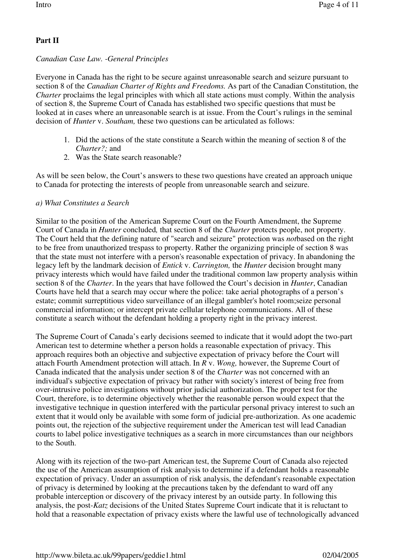## **Part II**

## *Canadian Case Law. -General Principles*

Everyone in Canada has the right to be secure against unreasonable search and seizure pursuant to section 8 of the *Canadian Charter of Rights and Freedoms.* As part of the Canadian Constitution, the *Charter* proclaims the legal principles with which all state actions must comply. Within the analysis of section 8, the Supreme Court of Canada has established two specific questions that must be looked at in cases where an unreasonable search is at issue. From the Court's rulings in the seminal decision of *Hunter* v. *Southam,* these two questions can be articulated as follows:

- 1. Did the actions of the state constitute a Search within the meaning of section 8 of the *Charter?;* and
- 2. Was the State search reasonable?

As will be seen below, the Court's answers to these two questions have created an approach unique to Canada for protecting the interests of people from unreasonable search and seizure.

## *a) What Constitutes a Search*

Similar to the position of the American Supreme Court on the Fourth Amendment, the Supreme Court of Canada in *Hunter* concluded*,* that section 8 of the *Charter* protects people, not property. The Court held that the defining nature of "search and seizure" protection was *not*based on the right to be free from unauthorized trespass to property. Rather the organizing principle of section 8 was that the state must not interfere with a person's reasonable expectation of privacy. In abandoning the legacy left by the landmark decision of *Entick* v. *Carrington,* the *Hunter* decision brought many privacy interests which would have failed under the traditional common law property analysis within section 8 of the *Charter*. In the years that have followed the Court's decision in *Hunter*, Canadian Courts have held that a search may occur where the police: take aerial photographs of a person's estate; commit surreptitious video surveillance of an illegal gambler's hotel room;seize personal commercial information; or intercept private cellular telephone communications. All of these constitute a search without the defendant holding a property right in the privacy interest.

The Supreme Court of Canada's early decisions seemed to indicate that it would adopt the two-part American test to determine whether a person holds a reasonable expectation of privacy. This approach requires both an objective and subjective expectation of privacy before the Court will attach Fourth Amendment protection will attach. In *R* v. *Wong,* however, the Supreme Court of Canada indicated that the analysis under section 8 of the *Charter* was not concerned with an individual's subjective expectation of privacy but rather with society's interest of being free from over-intrusive police investigations without prior judicial authorization. The proper test for the Court, therefore, is to determine objectively whether the reasonable person would expect that the investigative technique in question interfered with the particular personal privacy interest to such an extent that it would only be available with some form of judicial pre-authorization. As one academic points out, the rejection of the subjective requirement under the American test will lead Canadian courts to label police investigative techniques as a search in more circumstances than our neighbors to the South.

Along with its rejection of the two-part American test, the Supreme Court of Canada also rejected the use of the American assumption of risk analysis to determine if a defendant holds a reasonable expectation of privacy. Under an assumption of risk analysis, the defendant's reasonable expectation of privacy is determined by looking at the precautions taken by the defendant to ward off any probable interception or discovery of the privacy interest by an outside party. In following this analysis, the post-*Katz* decisions of the United States Supreme Court indicate that it is reluctant to hold that a reasonable expectation of privacy exists where the lawful use of technologically advanced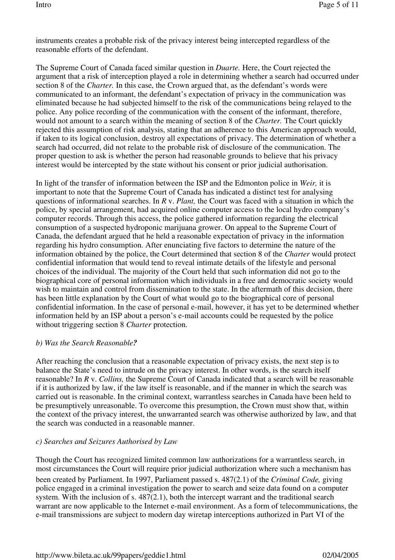instruments creates a probable risk of the privacy interest being intercepted regardless of the reasonable efforts of the defendant.

The Supreme Court of Canada faced similar question in *Duarte.* Here, the Court rejected the argument that a risk of interception played a role in determining whether a search had occurred under section 8 of the *Charter.* In this case, the Crown argued that, as the defendant's words were communicated to an informant, the defendant's expectation of privacy in the communication was eliminated because he had subjected himself to the risk of the communications being relayed to the police. Any police recording of the communication with the consent of the informant, therefore, would not amount to a search within the meaning of section 8 of the *Charter.* The Court quickly rejected this assumption of risk analysis, stating that an adherence to this American approach would, if taken to its logical conclusion, destroy all expectations of privacy. The determination of whether a search had occurred, did not relate to the probable risk of disclosure of the communication. The proper question to ask is whether the person had reasonable grounds to believe that his privacy interest would be intercepted by the state without his consent or prior judicial authorisation.

In light of the transfer of information between the ISP and the Edmonton police in *Weir,* it is important to note that the Supreme Court of Canada has indicated a distinct test for analysing questions of informational searches. In *R* v. *Plant,* the Court was faced with a situation in which the police, by special arrangement, had acquired online computer access to the local hydro company's computer records. Through this access, the police gathered information regarding the electrical consumption of a suspected hydroponic marijuana grower. On appeal to the Supreme Court of Canada, the defendant argued that he held a reasonable expectation of privacy in the information regarding his hydro consumption. After enunciating five factors to determine the nature of the information obtained by the police, the Court determined that section 8 of the *Charter* would protect confidential information that would tend to reveal intimate details of the lifestyle and personal choices of the individual. The majority of the Court held that such information did not go to the biographical core of personal information which individuals in a free and democratic society would wish to maintain and control from dissemination to the state. In the aftermath of this decision, there has been little explanation by the Court of what would go to the biographical core of personal confidential information. In the case of personal e-mail, however, it has yet to be determined whether information held by an ISP about a person's e-mail accounts could be requested by the police without triggering section 8 *Charter* protection.

#### *b) Was the Search Reasonable?*

After reaching the conclusion that a reasonable expectation of privacy exists, the next step is to balance the State's need to intrude on the privacy interest. In other words, is the search itself reasonable? In *R* v. *Collins,* the Supreme Court of Canada indicated that a search will be reasonable if it is authorized by law, if the law itself is reasonable, and if the manner in which the search was carried out is reasonable. In the criminal context, warrantless searches in Canada have been held to be presumptively unreasonable. To overcome this presumption, the Crown must show that, within the context of the privacy interest, the unwarranted search was otherwise authorized by law, and that the search was conducted in a reasonable manner.

#### *c) Searches and Seizures Authorised by Law*

Though the Court has recognized limited common law authorizations for a warrantless search, in most circumstances the Court will require prior judicial authorization where such a mechanism has been created by Parliament. In 1997, Parliament passed s. 487(2.1) of the *Criminal Code,* giving police engaged in a criminal investigation the power to search and seize data found on a computer system. With the inclusion of s. 487(2.1), both the intercept warrant and the traditional search warrant are now applicable to the Internet e-mail environment. As a form of telecommunications, the e-mail transmissions are subject to modern day wiretap interceptions authorized in Part VI of the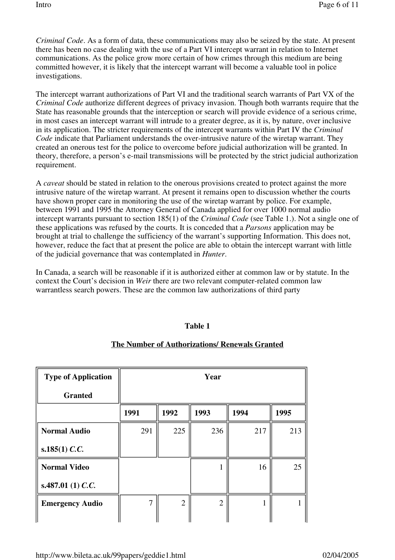*Criminal Code*. As a form of data, these communications may also be seized by the state. At present there has been no case dealing with the use of a Part VI intercept warrant in relation to Internet communications. As the police grow more certain of how crimes through this medium are being committed however, it is likely that the intercept warrant will become a valuable tool in police investigations.

The intercept warrant authorizations of Part VI and the traditional search warrants of Part VX of the *Criminal Code* authorize different degrees of privacy invasion. Though both warrants require that the State has reasonable grounds that the interception or search will provide evidence of a serious crime, in most cases an intercept warrant will intrude to a greater degree, as it is, by nature, over inclusive in its application. The stricter requirements of the intercept warrants within Part IV the *Criminal Code* indicate that Parliament understands the over-intrusive nature of the wiretap warrant. They created an onerous test for the police to overcome before judicial authorization will be granted. In theory, therefore, a person's e-mail transmissions will be protected by the strict judicial authorization requirement.

A *caveat* should be stated in relation to the onerous provisions created to protect against the more intrusive nature of the wiretap warrant. At present it remains open to discussion whether the courts have shown proper care in monitoring the use of the wiretap warrant by police. For example, between 1991 and 1995 the Attorney General of Canada applied for over 1000 normal audio intercept warrants pursuant to section 185(1) of the *Criminal Code* (see Table 1.). Not a single one of these applications was refused by the courts. It is conceded that a *Parsons* application may be brought at trial to challenge the sufficiency of the warrant's supporting Information. This does not, however, reduce the fact that at present the police are able to obtain the intercept warrant with little of the judicial governance that was contemplated in *Hunter*.

In Canada, a search will be reasonable if it is authorized either at common law or by statute. In the context the Court's decision in *Weir* there are two relevant computer-related common law warrantless search powers. These are the common law authorizations of third party

## **Table 1**

## **The Number of Authorizations/ Renewals Granted**

| <b>Type of Application</b> | Year |                |                |      |      |  |
|----------------------------|------|----------------|----------------|------|------|--|
| <b>Granted</b>             |      |                |                |      |      |  |
|                            | 1991 | 1992           | 1993           | 1994 | 1995 |  |
| <b>Normal Audio</b>        | 291  | 225            | 236            | 217  | 213  |  |
| $s.185(1)$ C.C.            |      |                |                |      |      |  |
| <b>Normal Video</b>        |      |                |                | 16   | 25   |  |
| $s.487.01(1)$ C.C.         |      |                |                |      |      |  |
| <b>Emergency Audio</b>     | 7    | $\overline{2}$ | $\overline{2}$ |      |      |  |
|                            |      |                |                |      |      |  |

http://www.bileta.ac.uk/99papers/geddie1.html 02/04/2005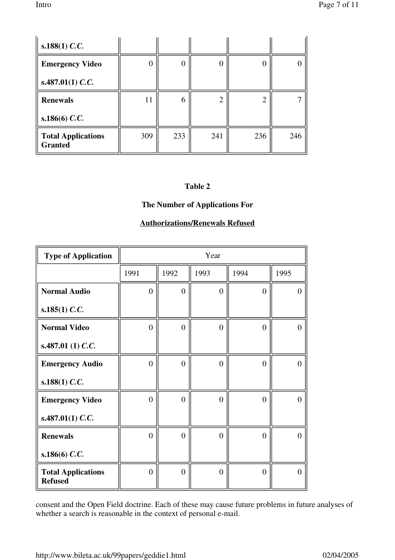| $s.188(1)$ C.C.                             |              |     |     |     |     |
|---------------------------------------------|--------------|-----|-----|-----|-----|
| <b>Emergency Video</b>                      |              | O   |     |     |     |
| $s.487.01(1)$ C.C.                          |              |     |     |     |     |
| <b>Renewals</b>                             | $\mathbf{I}$ | 6   |     |     |     |
| $s.186(6)$ C.C.                             |              |     |     |     |     |
| <b>Total Applications</b><br><b>Granted</b> | 309          | 233 | 241 | 236 | 246 |

#### **Table 2**

## **The Number of Applications For**

## **Authorizations/Renewals Refused**

| <b>Type of Application</b>                  | Year     |                |                |                |                |  |
|---------------------------------------------|----------|----------------|----------------|----------------|----------------|--|
|                                             | 1991     | 1992           | 1993           | 1994           | 1995           |  |
| <b>Normal Audio</b>                         | $\theta$ | $\overline{0}$ | $\overline{0}$ | $\overline{0}$ | $\overline{0}$ |  |
| $s.185(1)$ C.C.                             |          |                |                |                |                |  |
| <b>Normal Video</b>                         | $\Omega$ | $\theta$       | $\overline{0}$ | $\theta$       | $\overline{0}$ |  |
| s.487.01 (1) C.C.                           |          |                |                |                |                |  |
| <b>Emergency Audio</b>                      | $\theta$ | $\overline{0}$ | $\overline{0}$ | $\overline{0}$ | $\overline{0}$ |  |
| $s.188(1)$ C.C.                             |          |                |                |                |                |  |
| <b>Emergency Video</b>                      | $\theta$ | $\theta$       | $\theta$       | $\Omega$       | $\Omega$       |  |
| s.487.01(1) C.C.                            |          |                |                |                |                |  |
| <b>Renewals</b>                             | $\theta$ | $\overline{0}$ | $\overline{0}$ | $\overline{0}$ | $\overline{0}$ |  |
| $s.186(6)$ C.C.                             |          |                |                |                |                |  |
| <b>Total Applications</b><br><b>Refused</b> | $\theta$ | $\theta$       | $\theta$       | $\theta$       | $\theta$       |  |

consent and the Open Field doctrine. Each of these may cause future problems in future analyses of whether a search is reasonable in the context of personal e-mail.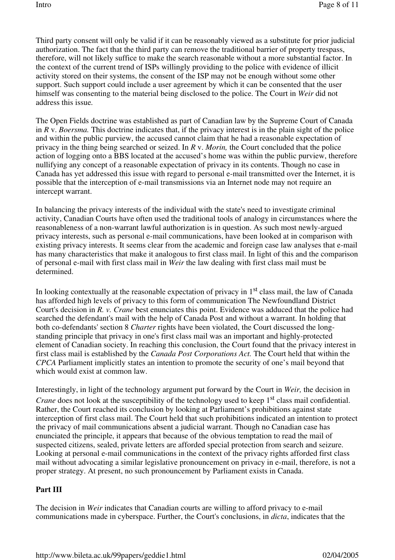Third party consent will only be valid if it can be reasonably viewed as a substitute for prior judicial authorization. The fact that the third party can remove the traditional barrier of property trespass, therefore, will not likely suffice to make the search reasonable without a more substantial factor. In the context of the current trend of ISPs willingly providing to the police with evidence of illicit activity stored on their systems, the consent of the ISP may not be enough without some other support. Such support could include a user agreement by which it can be consented that the user himself was consenting to the material being disclosed to the police. The Court in *Weir* did not address this issue*.*

The Open Fields doctrine was established as part of Canadian law by the Supreme Court of Canada in *R* v. *Boersma.* This doctrine indicates that, if the privacy interest is in the plain sight of the police and within the public purview, the accused cannot claim that he had a reasonable expectation of privacy in the thing being searched or seized. In *R* v. *Morin,* the Court concluded that the police action of logging onto a BBS located at the accused's home was within the public purview, therefore nullifying any concept of a reasonable expectation of privacy in its contents. Though no case in Canada has yet addressed this issue with regard to personal e-mail transmitted over the Internet, it is possible that the interception of e-mail transmissions via an Internet node may not require an intercept warrant.

In balancing the privacy interests of the individual with the state's need to investigate criminal activity, Canadian Courts have often used the traditional tools of analogy in circumstances where the reasonableness of a non-warrant lawful authorization is in question. As such most newly-argued privacy interests, such as personal e-mail communications, have been looked at in comparison with existing privacy interests. It seems clear from the academic and foreign case law analyses that e-mail has many characteristics that make it analogous to first class mail. In light of this and the comparison of personal e-mail with first class mail in *Weir* the law dealing with first class mail must be determined.

In looking contextually at the reasonable expectation of privacy in  $1<sup>st</sup>$  class mail, the law of Canada has afforded high levels of privacy to this form of communication The Newfoundland District Court's decision in *R. v. Crane* best enunciates this point. Evidence was adduced that the police had searched the defendant's mail with the help of Canada Post and without a warrant. In holding that both co-defendants' section 8 *Charter* rights have been violated, the Court discussed the longstanding principle that privacy in one's first class mail was an important and highly-protected element of Canadian society. In reaching this conclusion, the Court found that the privacy interest in first class mail is established by the *Canada Post Corporations Act.* The Court held that within the *CPCA* Parliament implicitly states an intention to promote the security of one's mail beyond that which would exist at common law.

Interestingly, in light of the technology argument put forward by the Court in *Weir,* the decision in *Crane* does not look at the susceptibility of the technology used to keep 1<sup>st</sup> class mail confidential. Rather, the Court reached its conclusion by looking at Parliament's prohibitions against state interception of first class mail. The Court held that such prohibitions indicated an intention to protect the privacy of mail communications absent a judicial warrant. Though no Canadian case has enunciated the principle, it appears that because of the obvious temptation to read the mail of suspected citizens, sealed, private letters are afforded special protection from search and seizure. Looking at personal e-mail communications in the context of the privacy rights afforded first class mail without advocating a similar legislative pronouncement on privacy in e-mail, therefore, is not a proper strategy. At present, no such pronouncement by Parliament exists in Canada.

#### **Part III**

The decision in *Weir* indicates that Canadian courts are willing to afford privacy to e-mail communications made in cyberspace. Further, the Court's conclusions, in *dicta*, indicates that the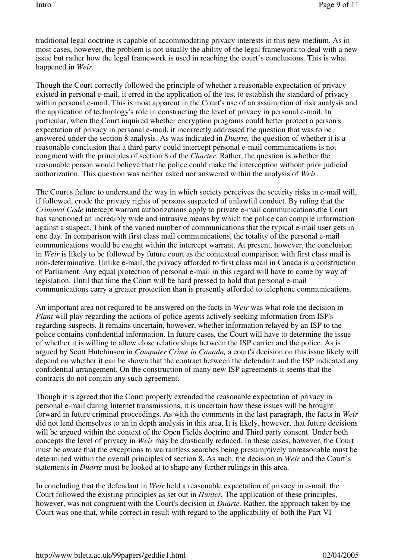traditional legal doctrine is capable of accommodating privacy interests in this new medium. As in most cases, however, the problem is not usually the ability of the legal framework to deal with a new issue but rather how the legal framework is used in reaching the court's conclusions. This is what happened in *Weir.*

Though the Court correctly followed the principle of whether a reasonable expectation of privacy existed in personal e-mail, it erred in the application of the test to establish the standard of privacy within personal e-mail. This is most apparent in the Court's use of an assumption of risk analysis and the application of technology's role in constructing the level of privacy in personal e-mail. In particular, when the Court inquired whether encryption programs could better protect a person's expectation of privacy in personal e-mail, it incorrectly addressed the question that was to be answered under the section 8 analysis. As was indicated in *Duarte,* the question of whether it is a reasonable conclusion that a third party could intercept personal e-mail communications is not congruent with the principles of section 8 of the *Charter.* Rather, the question is whether the reasonable person would believe that the police could make the interception without prior judicial authorization. This question was neither asked nor answered within the analysis of *Weir*.

The Court's failure to understand the way in which society perceives the security risks in e-mail will, if followed, erode the privacy rights of persons suspected of unlawful conduct. By ruling that the *Criminal Code* intercept warrant authorizations apply to private e-mail communications,the Court has sanctioned an incredibly wide and intrusive means by which the police can compile information against a suspect. Think of the varied number of communications that the typical e-mail user gets in one day. In comparison with first class mail communications, the totality of the personal e-mail communications would be caught within the intercept warrant. At present, however, the conclusion in *Weir* is likely to be followed by future court as the contextual comparison with first class mail is non-determinative. Unlike e-mail, the privacy afforded to first class mail in Canada is a construction of Parliament. Any equal protection of personal e-mail in this regard will have to come by way of legislation. Until that time the Court will be hard pressed to hold that personal e-mail communications carry a greater protection than is presently afforded to telephone communications.

An important area not required to be answered on the facts in *Weir* was what role the decision in *Plant* will play regarding the actions of police agents actively seeking information from ISP's regarding suspects*.* It remains uncertain, however, whether information relayed by an ISP to the police contains confidential information. In future cases, the Court will have to determine the issue of whether it is willing to allow close relationships between the ISP carrier and the police. As is argued by Scott Hutchinson in *Computer Crime in Canada,* a court's decision on this issue likely will depend on whether it can be shown that the contract between the defendant and the ISP indicated any confidential arrangement. On the construction of many new ISP agreements it seems that the contracts do not contain any such agreement.

Though it is agreed that the Court properly extended the reasonable expectation of privacy in personal e-mail during Internet transmissions, it is uncertain how these issues will be brought forward in future criminal proceedings. As with the comments in the last paragraph, the facts in *Weir*  did not lend themselves to an in depth analysis in this area. It is likely, however, that future decisions will be argued within the context of the Open Fields doctrine and Third party consent. Under both concepts the level of privacy in *Weir* may be drastically reduced. In these cases, however, the Court must be aware that the exceptions to warrantless searches being presumptively unreasonable must be determined within the overall principles of section 8. As such, the decision in *Weir* and the Court's statements in *Duarte* must be looked at to shape any further rulings in this area.

In concluding that the defendant in *Weir* held a reasonable expectation of privacy in e-mail, the Court followed the existing principles as set out in *Hunter.* The application of these principles, however, was not congruent with the Court's decision in *Duarte.* Rather, the approach taken by the Court was one that, while correct in result with regard to the applicability of both the Part VI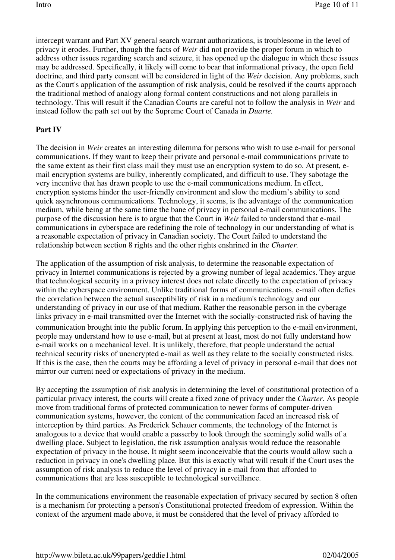intercept warrant and Part XV general search warrant authorizations, is troublesome in the level of privacy it erodes. Further, though the facts of *Weir* did not provide the proper forum in which to address other issues regarding search and seizure, it has opened up the dialogue in which these issues may be addressed. Specifically, it likely will come to bear that informational privacy, the open field doctrine, and third party consent will be considered in light of the *Weir* decision. Any problems, such as the Court's application of the assumption of risk analysis, could be resolved if the courts approach the traditional method of analogy along formal content constructions and not along parallels in technology. This will result if the Canadian Courts are careful not to follow the analysis in *Weir* and instead follow the path set out by the Supreme Court of Canada in *Duarte.*

### **Part IV**

The decision in *Weir* creates an interesting dilemma for persons who wish to use e-mail for personal communications. If they want to keep their private and personal e-mail communications private to the same extent as their first class mail they must use an encryption system to do so. At present, email encryption systems are bulky, inherently complicated, and difficult to use. They sabotage the very incentive that has drawn people to use the e-mail communications medium. In effect, encryption systems hinder the user-friendly environment and slow the medium's ability to send quick asynchronous communications. Technology, it seems, is the advantage of the communication medium, while being at the same time the bane of privacy in personal e-mail communications. The purpose of the discussion here is to argue that the Court in *Weir* failed to understand that e-mail communications in cyberspace are redefining the role of technology in our understanding of what is a reasonable expectation of privacy in Canadian society. The Court failed to understand the relationship between section 8 rights and the other rights enshrined in the *Charter.*

The application of the assumption of risk analysis, to determine the reasonable expectation of privacy in Internet communications is rejected by a growing number of legal academics. They argue that technological security in a privacy interest does not relate directly to the expectation of privacy within the cyberspace environment. Unlike traditional forms of communications, e-mail often defies the correlation between the actual susceptibility of risk in a medium's technology and our understanding of privacy in our use of that medium. Rather the reasonable person in the cyberage links privacy in e-mail transmitted over the Internet with the socially-constructed risk of having the communication brought into the public forum. In applying this perception to the e-mail environment, people may understand how to use e-mail, but at present at least, most do not fully understand how e-mail works on a mechanical level. It is unlikely, therefore, that people understand the actual technical security risks of unencrypted e-mail as well as they relate to the socially constructed risks. If this is the case, then the courts may be affording a level of privacy in personal e-mail that does not mirror our current need or expectations of privacy in the medium.

By accepting the assumption of risk analysis in determining the level of constitutional protection of a particular privacy interest, the courts will create a fixed zone of privacy under the *Charter.* As people move from traditional forms of protected communication to newer forms of computer-driven communication systems, however, the content of the communication faced an increased risk of interception by third parties. As Frederick Schauer comments, the technology of the Internet is analogous to a device that would enable a passerby to look through the seemingly solid walls of a dwelling place. Subject to legislation, the risk assumption analysis would reduce the reasonable expectation of privacy in the house. It might seem inconceivable that the courts would allow such a reduction in privacy in one's dwelling place. But this is exactly what will result if the Court uses the assumption of risk analysis to reduce the level of privacy in e-mail from that afforded to communications that are less susceptible to technological surveillance.

In the communications environment the reasonable expectation of privacy secured by section 8 often is a mechanism for protecting a person's Constitutional protected freedom of expression. Within the context of the argument made above, it must be considered that the level of privacy afforded to